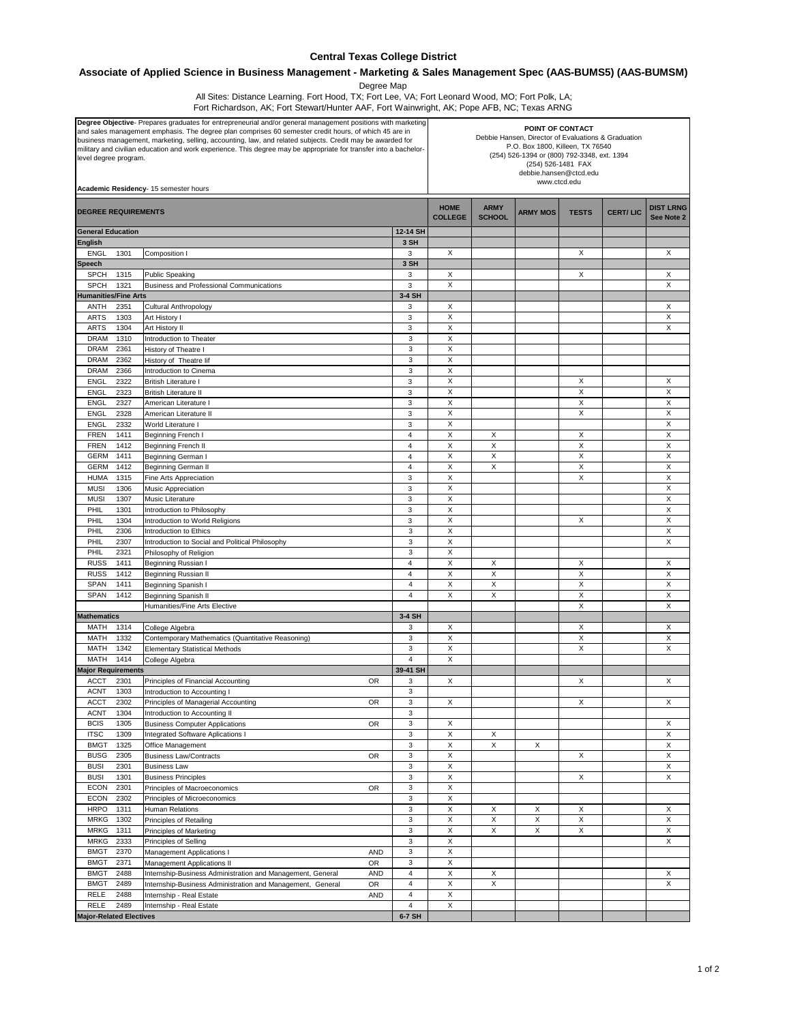## **Central Texas College District**

## **Associate of Applied Science in Business Management - Marketing & Sales Management Spec (AAS-BUMS5) (AAS-BUMSM)**

Degree Map

All Sites: Distance Learning. Fort Hood, TX; Fort Lee, VA; Fort Leonard Wood, MO; Fort Polk, LA; Fort Richardson, AK; Fort Stewart/Hunter AAF, Fort Wainwright, AK; Pope AFB, NC; Texas ARNG

| Degree Objective- Prepares graduates for entrepreneurial and/or general management positions with marketing<br>and sales management emphasis. The degree plan comprises 60 semester credit hours, of which 45 are in<br>business management, marketing, selling, accounting, law, and related subjects. Credit may be awarded for<br>military and civilian education and work experience. This degree may be appropriate for transfer into a bachelor-<br>level degree program.<br>Academic Residency- 15 semester hours |              |                                                                                        |                  | POINT OF CONTACT<br>Debbie Hansen, Director of Evaluations & Graduation<br>P.O. Box 1800, Killeen, TX 76540<br>(254) 526-1394 or (800) 792-3348, ext. 1394<br>(254) 526-1481 FAX<br>debbie.hansen@ctcd.edu<br>www.ctcd.edu |                              |                 |              |                 |                                |        |
|--------------------------------------------------------------------------------------------------------------------------------------------------------------------------------------------------------------------------------------------------------------------------------------------------------------------------------------------------------------------------------------------------------------------------------------------------------------------------------------------------------------------------|--------------|----------------------------------------------------------------------------------------|------------------|----------------------------------------------------------------------------------------------------------------------------------------------------------------------------------------------------------------------------|------------------------------|-----------------|--------------|-----------------|--------------------------------|--------|
| <b>DEGREE REQUIREMENTS</b>                                                                                                                                                                                                                                                                                                                                                                                                                                                                                               |              |                                                                                        |                  | <b>HOME</b><br><b>COLLEGE</b>                                                                                                                                                                                              | <b>ARMY</b><br><b>SCHOOL</b> | <b>ARMY MOS</b> | <b>TESTS</b> | <b>CERT/LIC</b> | <b>DIST LRNG</b><br>See Note 2 |        |
| <b>General Education</b>                                                                                                                                                                                                                                                                                                                                                                                                                                                                                                 |              |                                                                                        |                  | 12-14 SH                                                                                                                                                                                                                   |                              |                 |              |                 |                                |        |
| English<br><b>ENGL</b>                                                                                                                                                                                                                                                                                                                                                                                                                                                                                                   | 1301         | Composition I                                                                          |                  | 3 SH<br>3                                                                                                                                                                                                                  | X                            |                 |              | X               |                                | X      |
| Speech                                                                                                                                                                                                                                                                                                                                                                                                                                                                                                                   |              |                                                                                        |                  | 3 SH                                                                                                                                                                                                                       |                              |                 |              |                 |                                |        |
| <b>SPCH</b>                                                                                                                                                                                                                                                                                                                                                                                                                                                                                                              | 1315         | <b>Public Speaking</b>                                                                 |                  | 3                                                                                                                                                                                                                          | X                            |                 |              | X               |                                | Х      |
| <b>SPCH</b>                                                                                                                                                                                                                                                                                                                                                                                                                                                                                                              | 1321         | Business and Professional Communications                                               |                  | 3                                                                                                                                                                                                                          | X                            |                 |              |                 |                                | X      |
| <b>Humanities/Fine Arts</b><br>ANTH                                                                                                                                                                                                                                                                                                                                                                                                                                                                                      | 2351         |                                                                                        |                  | 3-4 SH<br>3                                                                                                                                                                                                                | X                            |                 |              |                 |                                | Χ      |
| <b>ARTS</b>                                                                                                                                                                                                                                                                                                                                                                                                                                                                                                              | 1303         | Cultural Anthropology<br>Art History I                                                 |                  | 3                                                                                                                                                                                                                          | X                            |                 |              |                 |                                | X      |
| <b>ARTS</b>                                                                                                                                                                                                                                                                                                                                                                                                                                                                                                              | 1304         | Art History II                                                                         |                  | 3                                                                                                                                                                                                                          | X                            |                 |              |                 |                                | X      |
| <b>DRAM</b>                                                                                                                                                                                                                                                                                                                                                                                                                                                                                                              | 1310         | Introduction to Theater                                                                |                  | 3                                                                                                                                                                                                                          | Χ                            |                 |              |                 |                                |        |
| <b>DRAM</b>                                                                                                                                                                                                                                                                                                                                                                                                                                                                                                              | 2361         | History of Theatre I                                                                   |                  | 3                                                                                                                                                                                                                          | X                            |                 |              |                 |                                |        |
| <b>DRAM</b><br><b>DRAM</b>                                                                                                                                                                                                                                                                                                                                                                                                                                                                                               | 2362<br>2366 | History of Theatre lif                                                                 |                  | 3<br>3                                                                                                                                                                                                                     | X<br>X                       |                 |              |                 |                                |        |
| <b>ENGL</b>                                                                                                                                                                                                                                                                                                                                                                                                                                                                                                              | 2322         | Introduction to Cinema<br><b>British Literature I</b>                                  |                  | 3                                                                                                                                                                                                                          | X                            |                 |              | X               |                                | X      |
| <b>ENGL</b>                                                                                                                                                                                                                                                                                                                                                                                                                                                                                                              | 2323         | <b>British Literature II</b>                                                           |                  | 3                                                                                                                                                                                                                          | X                            |                 |              | X               |                                | X      |
| <b>ENGL</b>                                                                                                                                                                                                                                                                                                                                                                                                                                                                                                              | 2327         | American Literature I                                                                  |                  | 3                                                                                                                                                                                                                          | X                            |                 |              | X               |                                | X      |
| <b>ENGL</b>                                                                                                                                                                                                                                                                                                                                                                                                                                                                                                              | 2328         | American Literature II                                                                 |                  | 3                                                                                                                                                                                                                          | X                            |                 |              | X               |                                | X      |
| <b>ENGL</b>                                                                                                                                                                                                                                                                                                                                                                                                                                                                                                              | 2332         | World Literature I                                                                     |                  | 3<br>$\overline{4}$                                                                                                                                                                                                        | X<br>X                       | X               |              | X               |                                | Χ<br>X |
| <b>FREN</b><br><b>FREN</b>                                                                                                                                                                                                                                                                                                                                                                                                                                                                                               | 1411<br>1412 | Beginning French I<br>Beginning French II                                              |                  | 4                                                                                                                                                                                                                          | X                            | X               |              | $\times$        |                                | X      |
| <b>GERM</b>                                                                                                                                                                                                                                                                                                                                                                                                                                                                                                              | 1411         | Beginning German I                                                                     |                  | $\overline{4}$                                                                                                                                                                                                             | X                            | X               |              | X               |                                | X      |
| <b>GERM</b>                                                                                                                                                                                                                                                                                                                                                                                                                                                                                                              | 1412         | Beginning German II                                                                    |                  | 4                                                                                                                                                                                                                          | X                            | Χ               |              | X               |                                | X      |
| <b>HUMA</b>                                                                                                                                                                                                                                                                                                                                                                                                                                                                                                              | 1315         | Fine Arts Appreciation                                                                 |                  | 3                                                                                                                                                                                                                          | X                            |                 |              | X               |                                | X      |
| <b>MUSI</b>                                                                                                                                                                                                                                                                                                                                                                                                                                                                                                              | 1306         | Music Appreciation                                                                     |                  | $\mathbf{3}$                                                                                                                                                                                                               | $\mathsf X$<br>X             |                 |              |                 |                                | X      |
| <b>MUSI</b><br>PHIL                                                                                                                                                                                                                                                                                                                                                                                                                                                                                                      | 1307<br>1301 | Music Literature<br>Introduction to Philosophy                                         |                  | 3<br>3                                                                                                                                                                                                                     | X                            |                 |              |                 |                                | X<br>X |
| PHIL                                                                                                                                                                                                                                                                                                                                                                                                                                                                                                                     | 1304         | Introduction to World Religions                                                        |                  | 3                                                                                                                                                                                                                          | X                            |                 |              | X               |                                | X      |
| PHIL                                                                                                                                                                                                                                                                                                                                                                                                                                                                                                                     | 2306         | Introduction to Ethics                                                                 |                  | 3                                                                                                                                                                                                                          | X                            |                 |              |                 |                                | X      |
| PHIL                                                                                                                                                                                                                                                                                                                                                                                                                                                                                                                     | 2307         | Introduction to Social and Political Philosophy                                        |                  | 3                                                                                                                                                                                                                          | X                            |                 |              |                 |                                | X      |
| PHIL                                                                                                                                                                                                                                                                                                                                                                                                                                                                                                                     | 2321         | Philosophy of Religion                                                                 |                  | 3                                                                                                                                                                                                                          | X                            |                 |              |                 |                                |        |
| <b>RUSS</b><br><b>RUSS</b>                                                                                                                                                                                                                                                                                                                                                                                                                                                                                               | 1411<br>1412 | Beginning Russian I<br>Beginning Russian II                                            |                  | 4<br>$\overline{4}$                                                                                                                                                                                                        | X<br>X                       | X<br>X          |              | X<br>X          |                                | X<br>X |
| <b>SPAN</b>                                                                                                                                                                                                                                                                                                                                                                                                                                                                                                              | 1411         | Beginning Spanish I                                                                    |                  | 4                                                                                                                                                                                                                          | X                            | X               |              | X               |                                | х      |
| SPAN                                                                                                                                                                                                                                                                                                                                                                                                                                                                                                                     | 1412         | Beginning Spanish II                                                                   |                  | 4                                                                                                                                                                                                                          | X                            | X               |              | X               |                                | X      |
|                                                                                                                                                                                                                                                                                                                                                                                                                                                                                                                          |              | Humanities/Fine Arts Elective                                                          |                  |                                                                                                                                                                                                                            |                              |                 |              | X               |                                | X      |
| <b>Mathematics</b>                                                                                                                                                                                                                                                                                                                                                                                                                                                                                                       |              |                                                                                        |                  | 3-4 SH                                                                                                                                                                                                                     |                              |                 |              |                 |                                |        |
| MATH<br>MATH                                                                                                                                                                                                                                                                                                                                                                                                                                                                                                             | 1314<br>1332 | College Algebra<br>Contemporary Mathematics (Quantitative Reasoning)                   |                  | 3<br>3                                                                                                                                                                                                                     | Х<br>X                       |                 |              | Х<br>X          |                                | Х<br>X |
| <b>MATH</b>                                                                                                                                                                                                                                                                                                                                                                                                                                                                                                              | 1342         | <b>Elementary Statistical Methods</b>                                                  |                  | 3                                                                                                                                                                                                                          | Χ                            |                 |              | X               |                                | Χ      |
| MATH                                                                                                                                                                                                                                                                                                                                                                                                                                                                                                                     | 1414         | College Algebra                                                                        |                  | $\overline{4}$                                                                                                                                                                                                             | X                            |                 |              |                 |                                |        |
| <b>Major Requirements</b>                                                                                                                                                                                                                                                                                                                                                                                                                                                                                                |              |                                                                                        |                  | 39-41 SH                                                                                                                                                                                                                   |                              |                 |              |                 |                                |        |
| <b>ACCT</b><br><b>ACNT</b>                                                                                                                                                                                                                                                                                                                                                                                                                                                                                               | 2301<br>1303 | Principles of Financial Accounting<br>Introduction to Accounting I                     | <b>OR</b>        | 3<br>3                                                                                                                                                                                                                     | X                            |                 |              | X               |                                | X      |
| <b>ACCT</b>                                                                                                                                                                                                                                                                                                                                                                                                                                                                                                              | 2302         | Principles of Managerial Accounting                                                    | OR               | 3                                                                                                                                                                                                                          | X                            |                 |              | X               |                                | Χ      |
| <b>ACNT</b>                                                                                                                                                                                                                                                                                                                                                                                                                                                                                                              | 1304         | Introduction to Accounting II                                                          |                  | 3                                                                                                                                                                                                                          |                              |                 |              |                 |                                |        |
| <b>BCIS</b>                                                                                                                                                                                                                                                                                                                                                                                                                                                                                                              | 1305         | <b>Business Computer Applications</b>                                                  | <b>OR</b>        | 3                                                                                                                                                                                                                          | X                            |                 |              |                 |                                | X      |
| <b>ITSC</b>                                                                                                                                                                                                                                                                                                                                                                                                                                                                                                              | 1309         | <b>Integrated Software Aplications I</b>                                               |                  | 3                                                                                                                                                                                                                          | X                            | X               |              |                 |                                | X      |
| <b>BMGT</b><br><b>BUSG</b>                                                                                                                                                                                                                                                                                                                                                                                                                                                                                               | 1325<br>2305 | Office Management<br><b>Business Law/Contracts</b>                                     | <b>OR</b>        | $\ensuremath{\mathsf{3}}$<br>3                                                                                                                                                                                             | X<br>X                       | X               | X            | X               |                                | X<br>X |
| <b>BUSI</b>                                                                                                                                                                                                                                                                                                                                                                                                                                                                                                              | 2301         | <b>Business Law</b>                                                                    |                  | 3                                                                                                                                                                                                                          | X                            |                 |              |                 |                                | X      |
| <b>BUSI</b>                                                                                                                                                                                                                                                                                                                                                                                                                                                                                                              | 1301         | <b>Business Principles</b>                                                             |                  | 3                                                                                                                                                                                                                          | X                            |                 |              | X               |                                | X      |
| <b>ECON</b>                                                                                                                                                                                                                                                                                                                                                                                                                                                                                                              | 2301         | Principles of Macroeconomics                                                           | OR               | 3                                                                                                                                                                                                                          | X                            |                 |              |                 |                                |        |
| <b>ECON</b>                                                                                                                                                                                                                                                                                                                                                                                                                                                                                                              | 2302         | Principles of Microeconomics                                                           |                  | 3                                                                                                                                                                                                                          | X                            |                 |              |                 |                                |        |
| <b>HRPO</b><br><b>MRKG</b>                                                                                                                                                                                                                                                                                                                                                                                                                                                                                               | 1311<br>1302 | Human Relations<br>Principles of Retailing                                             |                  | 3<br>3                                                                                                                                                                                                                     | X<br>X                       | Х<br>X          | Х<br>X       | X<br>X          |                                | х<br>X |
| <b>MRKG</b>                                                                                                                                                                                                                                                                                                                                                                                                                                                                                                              | 1311         | Principles of Marketing                                                                |                  | 3                                                                                                                                                                                                                          | X                            | X               | X            | X               |                                | X      |
| <b>MRKG</b>                                                                                                                                                                                                                                                                                                                                                                                                                                                                                                              | 2333         | Principles of Selling                                                                  |                  | 3                                                                                                                                                                                                                          | X                            |                 |              |                 |                                | X      |
| <b>BMGT</b>                                                                                                                                                                                                                                                                                                                                                                                                                                                                                                              | 2370         | Management Applications I                                                              | <b>AND</b>       | 3                                                                                                                                                                                                                          | X                            |                 |              |                 |                                |        |
| <b>BMGT</b>                                                                                                                                                                                                                                                                                                                                                                                                                                                                                                              | 2371         | Management Applications II                                                             | OR               | 3                                                                                                                                                                                                                          | X                            |                 |              |                 |                                |        |
| <b>BMGT</b><br><b>BMGT</b>                                                                                                                                                                                                                                                                                                                                                                                                                                                                                               | 2488<br>2489 | Internship-Business Administration and Management, General                             | <b>AND</b><br>OR | $\overline{\mathbf{4}}$<br>$\overline{4}$                                                                                                                                                                                  | X<br>X                       | X<br>X          |              |                 |                                | X<br>X |
| RELE                                                                                                                                                                                                                                                                                                                                                                                                                                                                                                                     | 2488         | Internship-Business Administration and Management, General<br>Internship - Real Estate | AND              | 4                                                                                                                                                                                                                          | X                            |                 |              |                 |                                |        |
| <b>RELE</b>                                                                                                                                                                                                                                                                                                                                                                                                                                                                                                              | 2489         | Internship - Real Estate                                                               |                  | $\overline{\mathbf{4}}$                                                                                                                                                                                                    | X                            |                 |              |                 |                                |        |
| <b>Major-Related Electives</b>                                                                                                                                                                                                                                                                                                                                                                                                                                                                                           |              |                                                                                        |                  | 6-7 SH                                                                                                                                                                                                                     |                              |                 |              |                 |                                |        |